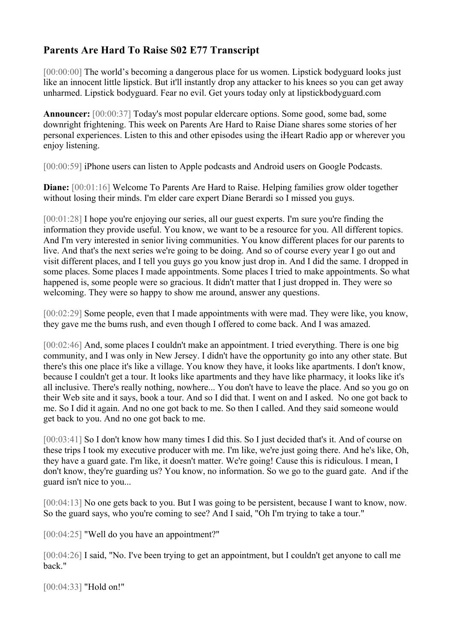## **Parents Are Hard To Raise S02 E77 Transcript**

[00:00:00] The world's becoming a dangerous place for us women. Lipstick bodyguard looks just like an innocent little lipstick. But it'll instantly drop any attacker to his knees so you can get away unharmed. Lipstick bodyguard. Fear no evil. Get yours today only at lipstickbodyguard.com

**Announcer:** [00:00:37] Today's most popular eldercare options. Some good, some bad, some downright frightening. This week on Parents Are Hard to Raise Diane shares some stories of her personal experiences. Listen to this and other episodes using the iHeart Radio app or wherever you enjoy listening.

[00:00:59] iPhone users can listen to Apple podcasts and Android users on Google Podcasts.

**Diane:**  $[00:01:16]$  Welcome To Parents Are Hard to Raise. Helping families grow older together without losing their minds. I'm elder care expert Diane Berardi so I missed you guys.

[00:01:28] I hope you're enjoying our series, all our guest experts. I'm sure you're finding the information they provide useful. You know, we want to be a resource for you. All different topics. And I'm very interested in senior living communities. You know different places for our parents to live. And that's the next series we're going to be doing. And so of course every year I go out and visit different places, and I tell you guys go you know just drop in. And I did the same. I dropped in some places. Some places I made appointments. Some places I tried to make appointments. So what happened is, some people were so gracious. It didn't matter that I just dropped in. They were so welcoming. They were so happy to show me around, answer any questions.

[00:02:29] Some people, even that I made appointments with were mad. They were like, you know, they gave me the bums rush, and even though I offered to come back. And I was amazed.

[00:02:46] And, some places I couldn't make an appointment. I tried everything. There is one big community, and I was only in New Jersey. I didn't have the opportunity go into any other state. But there's this one place it's like a village. You know they have, it looks like apartments. I don't know, because I couldn't get a tour. It looks like apartments and they have like pharmacy, it looks like it's all inclusive. There's really nothing, nowhere... You don't have to leave the place. And so you go on their Web site and it says, book a tour. And so I did that. I went on and I asked. No one got back to me. So I did it again. And no one got back to me. So then I called. And they said someone would get back to you. And no one got back to me.

[00:03:41] So I don't know how many times I did this. So I just decided that's it. And of course on these trips I took my executive producer with me. I'm like, we're just going there. And he's like, Oh, they have a guard gate. I'm like, it doesn't matter. We're going! Cause this is ridiculous. I mean, I don't know, they're guarding us? You know, no information. So we go to the guard gate. And if the guard isn't nice to you...

[00:04:13] No one gets back to you. But I was going to be persistent, because I want to know, now. So the guard says, who you're coming to see? And I said, "Oh I'm trying to take a tour."

[00:04:25] "Well do you have an appointment?"

[00:04:26] I said, "No. I've been trying to get an appointment, but I couldn't get anyone to call me back."

[00:04:33] "Hold on!"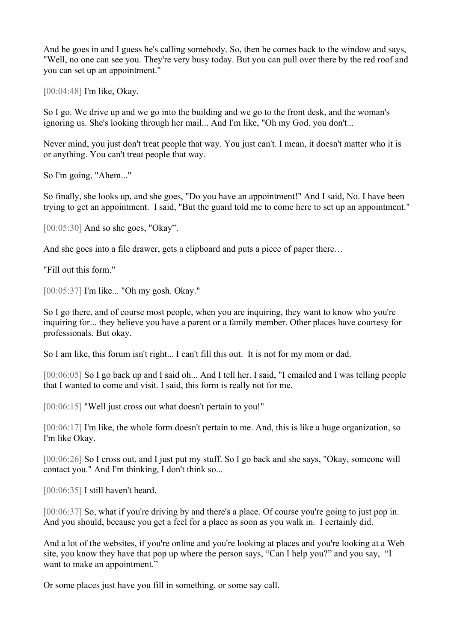And he goes in and I guess he's calling somebody. So, then he comes back to the window and says, "Well, no one can see you. They're very busy today. But you can pull over there by the red roof and you can set up an appointment."

[00:04:48] I'm like, Okay.

So I go. We drive up and we go into the building and we go to the front desk, and the woman's ignoring us. She's looking through her mail... And I'm like, "Oh my God. you don't...

Never mind, you just don't treat people that way. You just can't. I mean, it doesn't matter who it is or anything. You can't treat people that way.

So I'm going, "Ahem..."

So finally, she looks up, and she goes, "Do you have an appointment!" And I said, No. I have been trying to get an appointment. I said, "But the guard told me to come here to set up an appointment."

[00:05:30] And so she goes, "Okay".

And she goes into a file drawer, gets a clipboard and puts a piece of paper there…

"Fill out this form."

[00:05:37] I'm like... "Oh my gosh. Okay."

So I go there, and of course most people, when you are inquiring, they want to know who you're inquiring for... they believe you have a parent or a family member. Other places have courtesy for professionals. But okay.

So I am like, this forum isn't right... I can't fill this out. It is not for my mom or dad.

[00:06:05] So I go back up and I said oh... And I tell her. I said, "I emailed and I was telling people that I wanted to come and visit. I said, this form is really not for me.

[00:06:15] "Well just cross out what doesn't pertain to you!"

[00:06:17] I'm like, the whole form doesn't pertain to me. And, this is like a huge organization, so I'm like Okay.

[00:06:26] So I cross out, and I just put my stuff. So I go back and she says, "Okay, someone will contact you." And I'm thinking, I don't think so...

[00:06:35] I still haven't heard.

[00:06:37] So, what if you're driving by and there's a place. Of course you're going to just pop in. And you should, because you get a feel for a place as soon as you walk in. I certainly did.

And a lot of the websites, if you're online and you're looking at places and you're looking at a Web site, you know they have that pop up where the person says, "Can I help you?" and you say, "I want to make an appointment."

Or some places just have you fill in something, or some say call.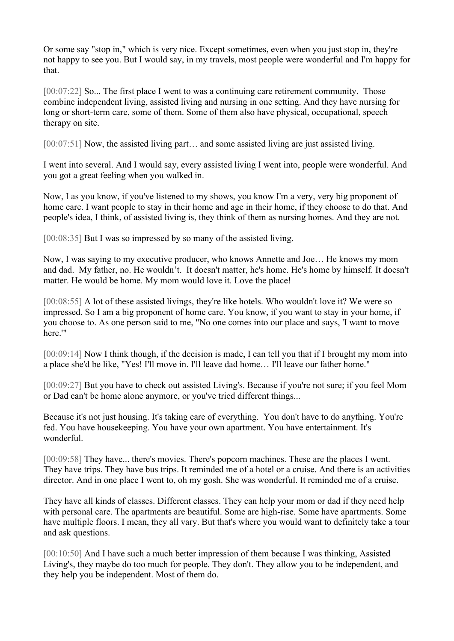Or some say "stop in," which is very nice. Except sometimes, even when you just stop in, they're not happy to see you. But I would say, in my travels, most people were wonderful and I'm happy for that.

[00:07:22] So... The first place I went to was a continuing care retirement community. Those combine independent living, assisted living and nursing in one setting. And they have nursing for long or short-term care, some of them. Some of them also have physical, occupational, speech therapy on site.

[00:07:51] Now, the assisted living part… and some assisted living are just assisted living.

I went into several. And I would say, every assisted living I went into, people were wonderful. And you got a great feeling when you walked in.

Now, I as you know, if you've listened to my shows, you know I'm a very, very big proponent of home care. I want people to stay in their home and age in their home, if they choose to do that. And people's idea, I think, of assisted living is, they think of them as nursing homes. And they are not.

[00:08:35] But I was so impressed by so many of the assisted living.

Now, I was saying to my executive producer, who knows Annette and Joe… He knows my mom and dad. My father, no. He wouldn't. It doesn't matter, he's home. He's home by himself. It doesn't matter. He would be home. My mom would love it. Love the place!

[00:08:55] A lot of these assisted livings, they're like hotels. Who wouldn't love it? We were so impressed. So I am a big proponent of home care. You know, if you want to stay in your home, if you choose to. As one person said to me, "No one comes into our place and says, 'I want to move here.'"

[00:09:14] Now I think though, if the decision is made, I can tell you that if I brought my mom into a place she'd be like, "Yes! I'll move in. I'll leave dad home… I'll leave our father home."

[00:09:27] But you have to check out assisted Living's. Because if you're not sure; if you feel Mom or Dad can't be home alone anymore, or you've tried different things...

Because it's not just housing. It's taking care of everything. You don't have to do anything. You're fed. You have housekeeping. You have your own apartment. You have entertainment. It's wonderful.

[00:09:58] They have... there's movies. There's popcorn machines. These are the places I went. They have trips. They have bus trips. It reminded me of a hotel or a cruise. And there is an activities director. And in one place I went to, oh my gosh. She was wonderful. It reminded me of a cruise.

They have all kinds of classes. Different classes. They can help your mom or dad if they need help with personal care. The apartments are beautiful. Some are high-rise. Some have apartments. Some have multiple floors. I mean, they all vary. But that's where you would want to definitely take a tour and ask questions.

[00:10:50] And I have such a much better impression of them because I was thinking, Assisted Living's, they maybe do too much for people. They don't. They allow you to be independent, and they help you be independent. Most of them do.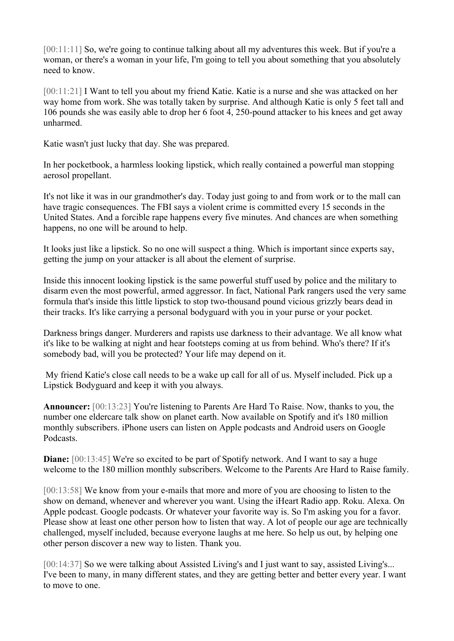[00:11:11] So, we're going to continue talking about all my adventures this week. But if you're a woman, or there's a woman in your life, I'm going to tell you about something that you absolutely need to know.

[00:11:21] I Want to tell you about my friend Katie. Katie is a nurse and she was attacked on her way home from work. She was totally taken by surprise. And although Katie is only 5 feet tall and 106 pounds she was easily able to drop her 6 foot 4, 250-pound attacker to his knees and get away unharmed.

Katie wasn't just lucky that day. She was prepared.

In her pocketbook, a harmless looking lipstick, which really contained a powerful man stopping aerosol propellant.

It's not like it was in our grandmother's day. Today just going to and from work or to the mall can have tragic consequences. The FBI says a violent crime is committed every 15 seconds in the United States. And a forcible rape happens every five minutes. And chances are when something happens, no one will be around to help.

It looks just like a lipstick. So no one will suspect a thing. Which is important since experts say, getting the jump on your attacker is all about the element of surprise.

Inside this innocent looking lipstick is the same powerful stuff used by police and the military to disarm even the most powerful, armed aggressor. In fact, National Park rangers used the very same formula that's inside this little lipstick to stop two-thousand pound vicious grizzly bears dead in their tracks. It's like carrying a personal bodyguard with you in your purse or your pocket.

Darkness brings danger. Murderers and rapists use darkness to their advantage. We all know what it's like to be walking at night and hear footsteps coming at us from behind. Who's there? If it's somebody bad, will you be protected? Your life may depend on it.

My friend Katie's close call needs to be a wake up call for all of us. Myself included. Pick up a Lipstick Bodyguard and keep it with you always.

**Announcer:** [00:13:23] You're listening to Parents Are Hard To Raise. Now, thanks to you, the number one eldercare talk show on planet earth. Now available on Spotify and it's 180 million monthly subscribers. iPhone users can listen on Apple podcasts and Android users on Google Podcasts.

**Diane:**  $[00:13:45]$  We're so excited to be part of Spotify network. And I want to say a huge welcome to the 180 million monthly subscribers. Welcome to the Parents Are Hard to Raise family.

[00:13:58] We know from your e-mails that more and more of you are choosing to listen to the show on demand, whenever and wherever you want. Using the iHeart Radio app. Roku. Alexa. On Apple podcast. Google podcasts. Or whatever your favorite way is. So I'm asking you for a favor. Please show at least one other person how to listen that way. A lot of people our age are technically challenged, myself included, because everyone laughs at me here. So help us out, by helping one other person discover a new way to listen. Thank you.

[00:14:37] So we were talking about Assisted Living's and I just want to say, assisted Living's... I've been to many, in many different states, and they are getting better and better every year. I want to move to one.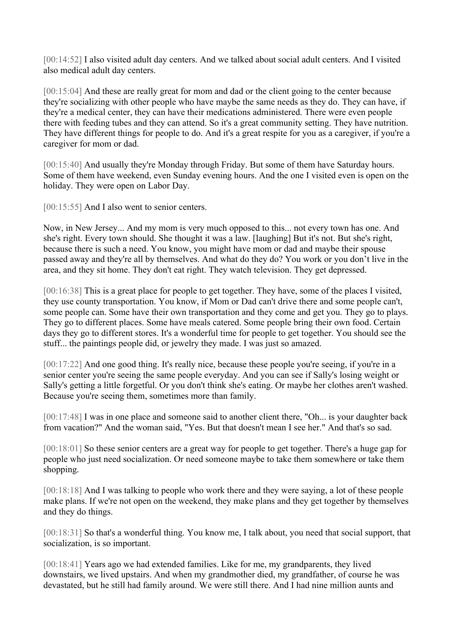[00:14:52] I also visited adult day centers. And we talked about social adult centers. And I visited also medical adult day centers.

[00:15:04] And these are really great for mom and dad or the client going to the center because they're socializing with other people who have maybe the same needs as they do. They can have, if they're a medical center, they can have their medications administered. There were even people there with feeding tubes and they can attend. So it's a great community setting. They have nutrition. They have different things for people to do. And it's a great respite for you as a caregiver, if you're a caregiver for mom or dad.

[00:15:40] And usually they're Monday through Friday. But some of them have Saturday hours. Some of them have weekend, even Sunday evening hours. And the one I visited even is open on the holiday. They were open on Labor Day.

[00:15:55] And I also went to senior centers.

Now, in New Jersey... And my mom is very much opposed to this... not every town has one. And she's right. Every town should. She thought it was a law. [laughing] But it's not. But she's right, because there is such a need. You know, you might have mom or dad and maybe their spouse passed away and they're all by themselves. And what do they do? You work or you don't live in the area, and they sit home. They don't eat right. They watch television. They get depressed.

[00:16:38] This is a great place for people to get together. They have, some of the places I visited, they use county transportation. You know, if Mom or Dad can't drive there and some people can't, some people can. Some have their own transportation and they come and get you. They go to plays. They go to different places. Some have meals catered. Some people bring their own food. Certain days they go to different stores. It's a wonderful time for people to get together. You should see the stuff... the paintings people did, or jewelry they made. I was just so amazed.

[00:17:22] And one good thing. It's really nice, because these people you're seeing, if you're in a senior center you're seeing the same people everyday. And you can see if Sally's losing weight or Sally's getting a little forgetful. Or you don't think she's eating. Or maybe her clothes aren't washed. Because you're seeing them, sometimes more than family.

[00:17:48] I was in one place and someone said to another client there, "Oh... is your daughter back from vacation?" And the woman said, "Yes. But that doesn't mean I see her." And that's so sad.

[00:18:01] So these senior centers are a great way for people to get together. There's a huge gap for people who just need socialization. Or need someone maybe to take them somewhere or take them shopping.

[00:18:18] And I was talking to people who work there and they were saying, a lot of these people make plans. If we're not open on the weekend, they make plans and they get together by themselves and they do things.

[00:18:31] So that's a wonderful thing. You know me, I talk about, you need that social support, that socialization, is so important.

[00:18:41] Years ago we had extended families. Like for me, my grandparents, they lived downstairs, we lived upstairs. And when my grandmother died, my grandfather, of course he was devastated, but he still had family around. We were still there. And I had nine million aunts and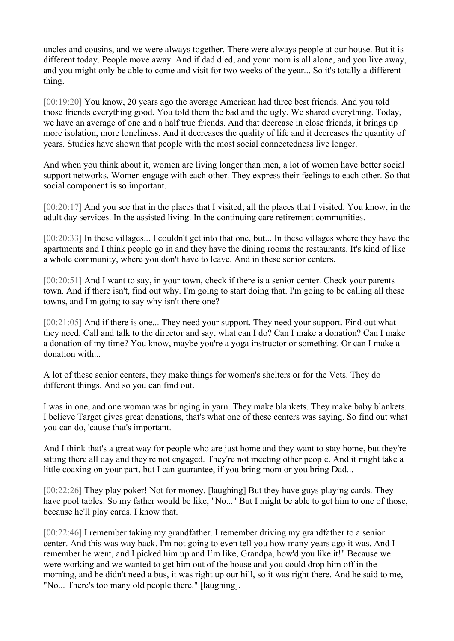uncles and cousins, and we were always together. There were always people at our house. But it is different today. People move away. And if dad died, and your mom is all alone, and you live away, and you might only be able to come and visit for two weeks of the year... So it's totally a different thing.

[00:19:20] You know, 20 years ago the average American had three best friends. And you told those friends everything good. You told them the bad and the ugly. We shared everything. Today, we have an average of one and a half true friends. And that decrease in close friends, it brings up more isolation, more loneliness. And it decreases the quality of life and it decreases the quantity of years. Studies have shown that people with the most social connectedness live longer.

And when you think about it, women are living longer than men, a lot of women have better social support networks. Women engage with each other. They express their feelings to each other. So that social component is so important.

[00:20:17] And you see that in the places that I visited; all the places that I visited. You know, in the adult day services. In the assisted living. In the continuing care retirement communities.

[00:20:33] In these villages... I couldn't get into that one, but... In these villages where they have the apartments and I think people go in and they have the dining rooms the restaurants. It's kind of like a whole community, where you don't have to leave. And in these senior centers.

[00:20:51] And I want to say, in your town, check if there is a senior center. Check your parents town. And if there isn't, find out why. I'm going to start doing that. I'm going to be calling all these towns, and I'm going to say why isn't there one?

[00:21:05] And if there is one... They need your support. They need your support. Find out what they need. Call and talk to the director and say, what can I do? Can I make a donation? Can I make a donation of my time? You know, maybe you're a yoga instructor or something. Or can I make a donation with...

A lot of these senior centers, they make things for women's shelters or for the Vets. They do different things. And so you can find out.

I was in one, and one woman was bringing in yarn. They make blankets. They make baby blankets. I believe Target gives great donations, that's what one of these centers was saying. So find out what you can do, 'cause that's important.

And I think that's a great way for people who are just home and they want to stay home, but they're sitting there all day and they're not engaged. They're not meeting other people. And it might take a little coaxing on your part, but I can guarantee, if you bring mom or you bring Dad...

[00:22:26] They play poker! Not for money. [laughing] But they have guys playing cards. They have pool tables. So my father would be like, "No..." But I might be able to get him to one of those, because he'll play cards. I know that.

[00:22:46] I remember taking my grandfather. I remember driving my grandfather to a senior center. And this was way back. I'm not going to even tell you how many years ago it was. And I remember he went, and I picked him up and I'm like, Grandpa, how'd you like it!" Because we were working and we wanted to get him out of the house and you could drop him off in the morning, and he didn't need a bus, it was right up our hill, so it was right there. And he said to me, "No... There's too many old people there." [laughing].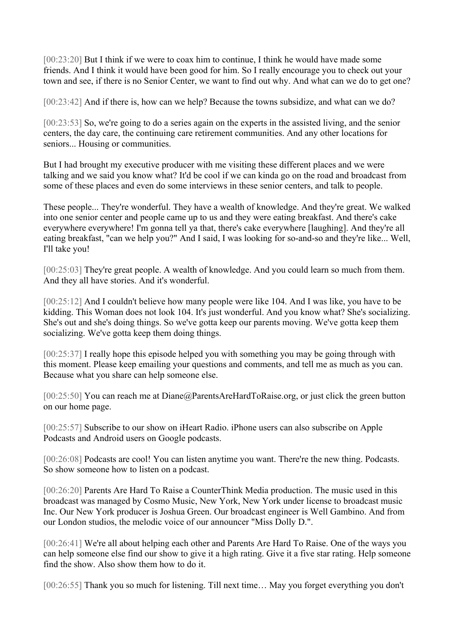[00:23:20] But I think if we were to coax him to continue, I think he would have made some friends. And I think it would have been good for him. So I really encourage you to check out your town and see, if there is no Senior Center, we want to find out why. And what can we do to get one?

[00:23:42] And if there is, how can we help? Because the towns subsidize, and what can we do?

[00:23:53] So, we're going to do a series again on the experts in the assisted living, and the senior centers, the day care, the continuing care retirement communities. And any other locations for seniors... Housing or communities.

But I had brought my executive producer with me visiting these different places and we were talking and we said you know what? It'd be cool if we can kinda go on the road and broadcast from some of these places and even do some interviews in these senior centers, and talk to people.

These people... They're wonderful. They have a wealth of knowledge. And they're great. We walked into one senior center and people came up to us and they were eating breakfast. And there's cake everywhere everywhere! I'm gonna tell ya that, there's cake everywhere [laughing]. And they're all eating breakfast, "can we help you?" And I said, I was looking for so-and-so and they're like... Well, I'll take you!

[00:25:03] They're great people. A wealth of knowledge. And you could learn so much from them. And they all have stories. And it's wonderful.

[00:25:12] And I couldn't believe how many people were like 104. And I was like, you have to be kidding. This Woman does not look 104. It's just wonderful. And you know what? She's socializing. She's out and she's doing things. So we've gotta keep our parents moving. We've gotta keep them socializing. We've gotta keep them doing things.

[00:25:37] I really hope this episode helped you with something you may be going through with this moment. Please keep emailing your questions and comments, and tell me as much as you can. Because what you share can help someone else.

[00:25:50] You can reach me at Diane@ParentsAreHardToRaise.org, or just click the green button on our home page.

[00:25:57] Subscribe to our show on iHeart Radio. iPhone users can also subscribe on Apple Podcasts and Android users on Google podcasts.

[00:26:08] Podcasts are cool! You can listen anytime you want. There're the new thing. Podcasts. So show someone how to listen on a podcast.

[00:26:20] Parents Are Hard To Raise a CounterThink Media production. The music used in this broadcast was managed by Cosmo Music, New York, New York under license to broadcast music Inc. Our New York producer is Joshua Green. Our broadcast engineer is Well Gambino. And from our London studios, the melodic voice of our announcer "Miss Dolly D.".

[00:26:41] We're all about helping each other and Parents Are Hard To Raise. One of the ways you can help someone else find our show to give it a high rating. Give it a five star rating. Help someone find the show. Also show them how to do it.

[00:26:55] Thank you so much for listening. Till next time... May you forget everything you don't